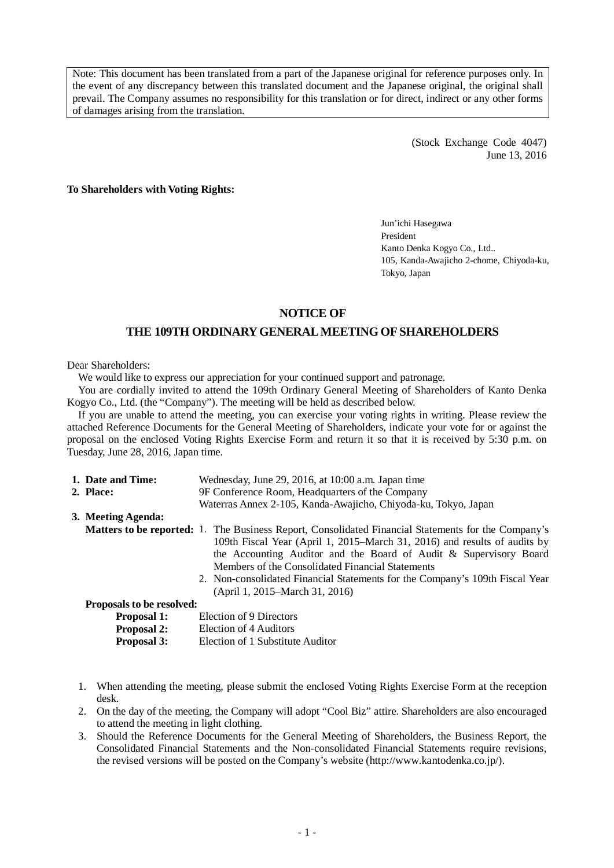Note: This document has been translated from a part of the Japanese original for reference purposes only. In the event of any discrepancy between this translated document and the Japanese original, the original shall prevail. The Company assumes no responsibility for this translation or for direct, indirect or any other forms of damages arising from the translation.

> (Stock Exchange Code 4047) June 13, 2016

**To Shareholders with Voting Rights:**

Jun'ichi Hasegawa President Kanto Denka Kogyo Co., Ltd.. 105, Kanda-Awajicho 2-chome, Chiyoda-ku, Tokyo, Japan

## **NOTICE OF**

# **THE 109TH ORDINARYGENERAL MEETING OF SHAREHOLDERS**

Dear Shareholders:

We would like to express our appreciation for your continued support and patronage.

You are cordially invited to attend the 109th Ordinary General Meeting of Shareholders of Kanto Denka Kogyo Co., Ltd. (the "Company"). The meeting will be held as described below.

If you are unable to attend the meeting, you can exercise your voting rights in writing. Please review the attached Reference Documents for the General Meeting of Shareholders, indicate your vote for or against the proposal on the enclosed Voting Rights Exercise Form and return it so that it is received by 5:30 p.m. on Tuesday, June 28, 2016, Japan time.

| 1. Date and Time:         | Wednesday, June 29, 2016, at 10:00 a.m. Japan time                                                                                                                                                                                                                                                                                                                                                                                 |  |  |  |
|---------------------------|------------------------------------------------------------------------------------------------------------------------------------------------------------------------------------------------------------------------------------------------------------------------------------------------------------------------------------------------------------------------------------------------------------------------------------|--|--|--|
| 2. Place:                 | 9F Conference Room, Headquarters of the Company                                                                                                                                                                                                                                                                                                                                                                                    |  |  |  |
|                           | Waterras Annex 2-105, Kanda-Awajicho, Chiyoda-ku, Tokyo, Japan                                                                                                                                                                                                                                                                                                                                                                     |  |  |  |
| 3. Meeting Agenda:        |                                                                                                                                                                                                                                                                                                                                                                                                                                    |  |  |  |
|                           | <b>Matters to be reported:</b> 1. The Business Report, Consolidated Financial Statements for the Company's<br>109th Fiscal Year (April 1, 2015–March 31, 2016) and results of audits by<br>the Accounting Auditor and the Board of Audit & Supervisory Board<br>Members of the Consolidated Financial Statements<br>2. Non-consolidated Financial Statements for the Company's 109th Fiscal Year<br>(April 1, 2015–March 31, 2016) |  |  |  |
| Proposals to be resolved: |                                                                                                                                                                                                                                                                                                                                                                                                                                    |  |  |  |
| <b>Proposal 1:</b>        | Election of 9 Directors                                                                                                                                                                                                                                                                                                                                                                                                            |  |  |  |
| <b>Proposal 2:</b>        | Election of 4 Auditors                                                                                                                                                                                                                                                                                                                                                                                                             |  |  |  |
| Proposal 3:               | Election of 1 Substitute Auditor                                                                                                                                                                                                                                                                                                                                                                                                   |  |  |  |

- 1. When attending the meeting, please submit the enclosed Voting Rights Exercise Form at the reception desk.
- 2. On the day of the meeting, the Company will adopt "Cool Biz" attire. Shareholders are also encouraged to attend the meeting in light clothing.
- 3. Should the Reference Documents for the General Meeting of Shareholders, the Business Report, the Consolidated Financial Statements and the Non-consolidated Financial Statements require revisions, the revised versions will be posted on the Company's website (http://www.kantodenka.co.jp/).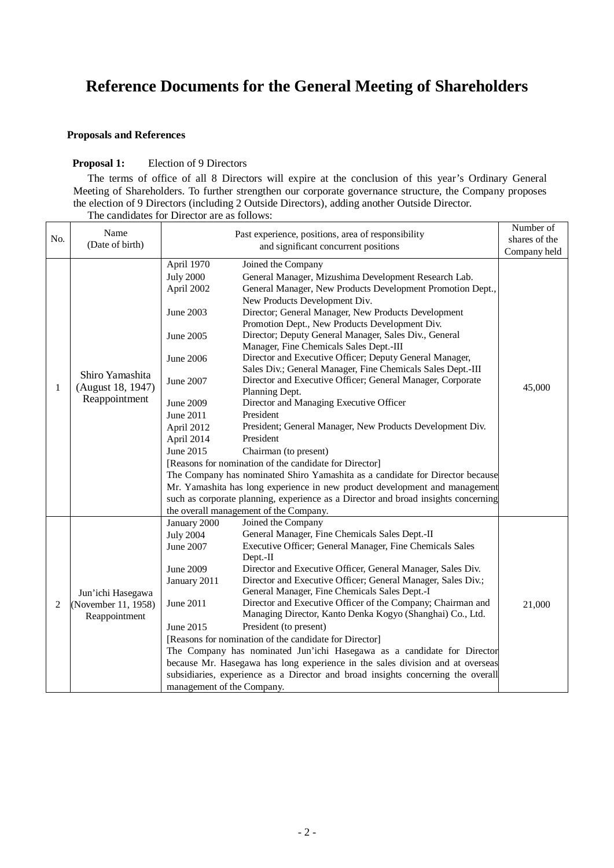# **Reference Documents for the General Meeting of Shareholders**

# **Proposals and References**

# **Proposal 1:** Election of 9 Directors

The terms of office of all 8 Directors will expire at the conclusion of this year's Ordinary General Meeting of Shareholders. To further strengthen our corporate governance structure, the Company proposes the election of 9 Directors (including 2 Outside Directors), adding another Outside Director. The candidates for Director are as follows:

| No. | Name                |                            | Past experience, positions, area of responsibility                                                            | Number of                     |
|-----|---------------------|----------------------------|---------------------------------------------------------------------------------------------------------------|-------------------------------|
|     | (Date of birth)     |                            | and significant concurrent positions                                                                          | shares of the<br>Company held |
|     |                     |                            |                                                                                                               |                               |
|     |                     | April 1970                 | Joined the Company                                                                                            |                               |
|     |                     | <b>July 2000</b>           | General Manager, Mizushima Development Research Lab.                                                          |                               |
|     |                     | April 2002                 | General Manager, New Products Development Promotion Dept.,                                                    |                               |
|     |                     | June 2003                  | New Products Development Div.<br>Director; General Manager, New Products Development                          |                               |
|     |                     |                            | Promotion Dept., New Products Development Div.                                                                |                               |
|     |                     | June 2005                  | Director; Deputy General Manager, Sales Div., General                                                         |                               |
|     |                     |                            | Manager, Fine Chemicals Sales Dept.-III                                                                       |                               |
|     |                     | June 2006                  | Director and Executive Officer; Deputy General Manager,                                                       |                               |
|     |                     |                            | Sales Div.; General Manager, Fine Chemicals Sales Dept.-III                                                   |                               |
|     | Shiro Yamashita     | June 2007                  | Director and Executive Officer; General Manager, Corporate                                                    |                               |
| 1   | (August 18, 1947)   |                            | Planning Dept.                                                                                                | 45,000                        |
|     | Reappointment       | June 2009                  | Director and Managing Executive Officer                                                                       |                               |
|     |                     | June 2011                  | President                                                                                                     |                               |
|     |                     | April 2012                 | President; General Manager, New Products Development Div.                                                     |                               |
|     |                     | April 2014                 | President                                                                                                     |                               |
|     |                     | June 2015                  | Chairman (to present)                                                                                         |                               |
|     |                     |                            | [Reasons for nomination of the candidate for Director]                                                        |                               |
|     |                     |                            | The Company has nominated Shiro Yamashita as a candidate for Director because                                 |                               |
|     |                     |                            | Mr. Yamashita has long experience in new product development and management                                   |                               |
|     |                     |                            | such as corporate planning, experience as a Director and broad insights concerning                            |                               |
|     |                     |                            | the overall management of the Company.                                                                        |                               |
|     |                     | January 2000               | Joined the Company                                                                                            |                               |
|     |                     | <b>July 2004</b>           | General Manager, Fine Chemicals Sales Dept.-II                                                                |                               |
|     |                     | June 2007                  | Executive Officer; General Manager, Fine Chemicals Sales                                                      |                               |
|     |                     |                            | Dept.-II                                                                                                      |                               |
|     |                     | June 2009                  | Director and Executive Officer, General Manager, Sales Div.                                                   |                               |
|     |                     | January 2011               | Director and Executive Officer; General Manager, Sales Div.;<br>General Manager, Fine Chemicals Sales Dept.-I |                               |
|     | Jun'ichi Hasegawa   | June 2011                  | Director and Executive Officer of the Company; Chairman and                                                   |                               |
| 2   | (November 11, 1958) |                            | Managing Director, Kanto Denka Kogyo (Shanghai) Co., Ltd.                                                     | 21,000                        |
|     | Reappointment       | June 2015                  | President (to present)                                                                                        |                               |
|     |                     |                            | [Reasons for nomination of the candidate for Director]                                                        |                               |
|     |                     |                            | The Company has nominated Jun'ichi Hasegawa as a candidate for Director                                       |                               |
|     |                     |                            | because Mr. Hasegawa has long experience in the sales division and at overseas                                |                               |
|     |                     |                            | subsidiaries, experience as a Director and broad insights concerning the overall                              |                               |
|     |                     | management of the Company. |                                                                                                               |                               |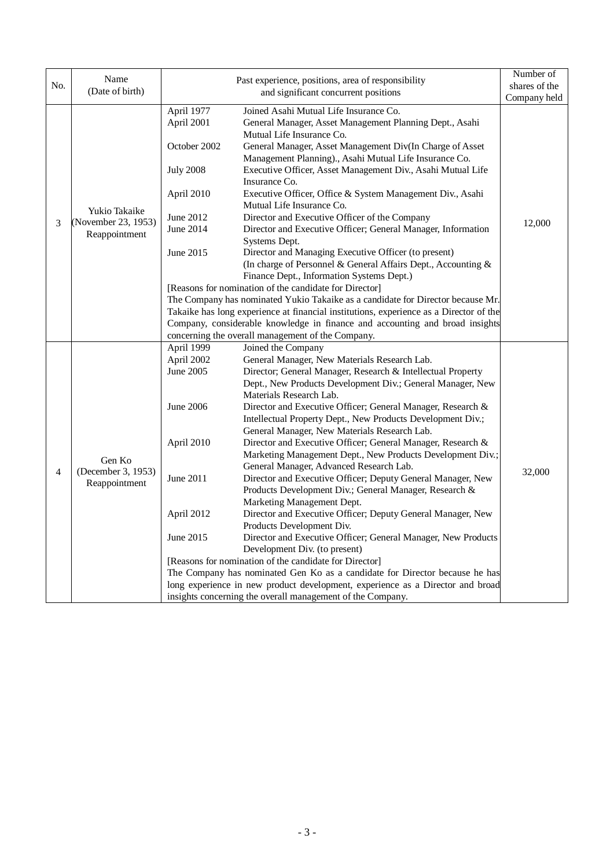|                | Name                                                       |                                                                                                          |                                                                                                                                                                                                                                                                                                                                                                                                                                                                                                                                                                                                                                                                                                                                                                                                                                                                                                                                                                                                                                                                                                                                                                                                                                                                                                                                                                                                                                                                                                                                                                                                                                                                                                                                                                                  | Number of        |
|----------------|------------------------------------------------------------|----------------------------------------------------------------------------------------------------------|----------------------------------------------------------------------------------------------------------------------------------------------------------------------------------------------------------------------------------------------------------------------------------------------------------------------------------------------------------------------------------------------------------------------------------------------------------------------------------------------------------------------------------------------------------------------------------------------------------------------------------------------------------------------------------------------------------------------------------------------------------------------------------------------------------------------------------------------------------------------------------------------------------------------------------------------------------------------------------------------------------------------------------------------------------------------------------------------------------------------------------------------------------------------------------------------------------------------------------------------------------------------------------------------------------------------------------------------------------------------------------------------------------------------------------------------------------------------------------------------------------------------------------------------------------------------------------------------------------------------------------------------------------------------------------------------------------------------------------------------------------------------------------|------------------|
| No.            | (Date of birth)                                            |                                                                                                          | Past experience, positions, area of responsibility                                                                                                                                                                                                                                                                                                                                                                                                                                                                                                                                                                                                                                                                                                                                                                                                                                                                                                                                                                                                                                                                                                                                                                                                                                                                                                                                                                                                                                                                                                                                                                                                                                                                                                                               | shares of the    |
|                |                                                            |                                                                                                          | and significant concurrent positions                                                                                                                                                                                                                                                                                                                                                                                                                                                                                                                                                                                                                                                                                                                                                                                                                                                                                                                                                                                                                                                                                                                                                                                                                                                                                                                                                                                                                                                                                                                                                                                                                                                                                                                                             | Company held     |
|                |                                                            | April 1977                                                                                               | Joined Asahi Mutual Life Insurance Co.                                                                                                                                                                                                                                                                                                                                                                                                                                                                                                                                                                                                                                                                                                                                                                                                                                                                                                                                                                                                                                                                                                                                                                                                                                                                                                                                                                                                                                                                                                                                                                                                                                                                                                                                           |                  |
|                |                                                            | April 2001                                                                                               | General Manager, Asset Management Planning Dept., Asahi                                                                                                                                                                                                                                                                                                                                                                                                                                                                                                                                                                                                                                                                                                                                                                                                                                                                                                                                                                                                                                                                                                                                                                                                                                                                                                                                                                                                                                                                                                                                                                                                                                                                                                                          |                  |
|                |                                                            |                                                                                                          | Mutual Life Insurance Co.                                                                                                                                                                                                                                                                                                                                                                                                                                                                                                                                                                                                                                                                                                                                                                                                                                                                                                                                                                                                                                                                                                                                                                                                                                                                                                                                                                                                                                                                                                                                                                                                                                                                                                                                                        |                  |
|                |                                                            | October 2002                                                                                             | General Manager, Asset Management Div(In Charge of Asset                                                                                                                                                                                                                                                                                                                                                                                                                                                                                                                                                                                                                                                                                                                                                                                                                                                                                                                                                                                                                                                                                                                                                                                                                                                                                                                                                                                                                                                                                                                                                                                                                                                                                                                         |                  |
|                |                                                            |                                                                                                          | Management Planning)., Asahi Mutual Life Insurance Co.                                                                                                                                                                                                                                                                                                                                                                                                                                                                                                                                                                                                                                                                                                                                                                                                                                                                                                                                                                                                                                                                                                                                                                                                                                                                                                                                                                                                                                                                                                                                                                                                                                                                                                                           |                  |
|                |                                                            | <b>July 2008</b>                                                                                         | Executive Officer, Asset Management Div., Asahi Mutual Life                                                                                                                                                                                                                                                                                                                                                                                                                                                                                                                                                                                                                                                                                                                                                                                                                                                                                                                                                                                                                                                                                                                                                                                                                                                                                                                                                                                                                                                                                                                                                                                                                                                                                                                      |                  |
|                |                                                            |                                                                                                          | Insurance Co.                                                                                                                                                                                                                                                                                                                                                                                                                                                                                                                                                                                                                                                                                                                                                                                                                                                                                                                                                                                                                                                                                                                                                                                                                                                                                                                                                                                                                                                                                                                                                                                                                                                                                                                                                                    |                  |
|                |                                                            | April 2010                                                                                               | Executive Officer, Office & System Management Div., Asahi                                                                                                                                                                                                                                                                                                                                                                                                                                                                                                                                                                                                                                                                                                                                                                                                                                                                                                                                                                                                                                                                                                                                                                                                                                                                                                                                                                                                                                                                                                                                                                                                                                                                                                                        |                  |
|                | Yukio Takaike                                              |                                                                                                          | Mutual Life Insurance Co.                                                                                                                                                                                                                                                                                                                                                                                                                                                                                                                                                                                                                                                                                                                                                                                                                                                                                                                                                                                                                                                                                                                                                                                                                                                                                                                                                                                                                                                                                                                                                                                                                                                                                                                                                        |                  |
|                |                                                            | June 2012                                                                                                | Director and Executive Officer of the Company                                                                                                                                                                                                                                                                                                                                                                                                                                                                                                                                                                                                                                                                                                                                                                                                                                                                                                                                                                                                                                                                                                                                                                                                                                                                                                                                                                                                                                                                                                                                                                                                                                                                                                                                    |                  |
|                |                                                            | June 2014                                                                                                | Director and Executive Officer; General Manager, Information                                                                                                                                                                                                                                                                                                                                                                                                                                                                                                                                                                                                                                                                                                                                                                                                                                                                                                                                                                                                                                                                                                                                                                                                                                                                                                                                                                                                                                                                                                                                                                                                                                                                                                                     |                  |
|                |                                                            |                                                                                                          | Systems Dept.                                                                                                                                                                                                                                                                                                                                                                                                                                                                                                                                                                                                                                                                                                                                                                                                                                                                                                                                                                                                                                                                                                                                                                                                                                                                                                                                                                                                                                                                                                                                                                                                                                                                                                                                                                    |                  |
|                |                                                            | June 2015                                                                                                |                                                                                                                                                                                                                                                                                                                                                                                                                                                                                                                                                                                                                                                                                                                                                                                                                                                                                                                                                                                                                                                                                                                                                                                                                                                                                                                                                                                                                                                                                                                                                                                                                                                                                                                                                                                  |                  |
|                |                                                            |                                                                                                          |                                                                                                                                                                                                                                                                                                                                                                                                                                                                                                                                                                                                                                                                                                                                                                                                                                                                                                                                                                                                                                                                                                                                                                                                                                                                                                                                                                                                                                                                                                                                                                                                                                                                                                                                                                                  |                  |
|                |                                                            |                                                                                                          |                                                                                                                                                                                                                                                                                                                                                                                                                                                                                                                                                                                                                                                                                                                                                                                                                                                                                                                                                                                                                                                                                                                                                                                                                                                                                                                                                                                                                                                                                                                                                                                                                                                                                                                                                                                  |                  |
|                |                                                            |                                                                                                          |                                                                                                                                                                                                                                                                                                                                                                                                                                                                                                                                                                                                                                                                                                                                                                                                                                                                                                                                                                                                                                                                                                                                                                                                                                                                                                                                                                                                                                                                                                                                                                                                                                                                                                                                                                                  |                  |
|                |                                                            |                                                                                                          |                                                                                                                                                                                                                                                                                                                                                                                                                                                                                                                                                                                                                                                                                                                                                                                                                                                                                                                                                                                                                                                                                                                                                                                                                                                                                                                                                                                                                                                                                                                                                                                                                                                                                                                                                                                  |                  |
|                |                                                            |                                                                                                          |                                                                                                                                                                                                                                                                                                                                                                                                                                                                                                                                                                                                                                                                                                                                                                                                                                                                                                                                                                                                                                                                                                                                                                                                                                                                                                                                                                                                                                                                                                                                                                                                                                                                                                                                                                                  |                  |
|                |                                                            |                                                                                                          |                                                                                                                                                                                                                                                                                                                                                                                                                                                                                                                                                                                                                                                                                                                                                                                                                                                                                                                                                                                                                                                                                                                                                                                                                                                                                                                                                                                                                                                                                                                                                                                                                                                                                                                                                                                  |                  |
|                |                                                            |                                                                                                          |                                                                                                                                                                                                                                                                                                                                                                                                                                                                                                                                                                                                                                                                                                                                                                                                                                                                                                                                                                                                                                                                                                                                                                                                                                                                                                                                                                                                                                                                                                                                                                                                                                                                                                                                                                                  |                  |
|                |                                                            |                                                                                                          |                                                                                                                                                                                                                                                                                                                                                                                                                                                                                                                                                                                                                                                                                                                                                                                                                                                                                                                                                                                                                                                                                                                                                                                                                                                                                                                                                                                                                                                                                                                                                                                                                                                                                                                                                                                  |                  |
|                |                                                            |                                                                                                          |                                                                                                                                                                                                                                                                                                                                                                                                                                                                                                                                                                                                                                                                                                                                                                                                                                                                                                                                                                                                                                                                                                                                                                                                                                                                                                                                                                                                                                                                                                                                                                                                                                                                                                                                                                                  |                  |
|                |                                                            |                                                                                                          |                                                                                                                                                                                                                                                                                                                                                                                                                                                                                                                                                                                                                                                                                                                                                                                                                                                                                                                                                                                                                                                                                                                                                                                                                                                                                                                                                                                                                                                                                                                                                                                                                                                                                                                                                                                  |                  |
|                |                                                            |                                                                                                          |                                                                                                                                                                                                                                                                                                                                                                                                                                                                                                                                                                                                                                                                                                                                                                                                                                                                                                                                                                                                                                                                                                                                                                                                                                                                                                                                                                                                                                                                                                                                                                                                                                                                                                                                                                                  |                  |
|                |                                                            |                                                                                                          |                                                                                                                                                                                                                                                                                                                                                                                                                                                                                                                                                                                                                                                                                                                                                                                                                                                                                                                                                                                                                                                                                                                                                                                                                                                                                                                                                                                                                                                                                                                                                                                                                                                                                                                                                                                  |                  |
|                | Gen Ko                                                     |                                                                                                          |                                                                                                                                                                                                                                                                                                                                                                                                                                                                                                                                                                                                                                                                                                                                                                                                                                                                                                                                                                                                                                                                                                                                                                                                                                                                                                                                                                                                                                                                                                                                                                                                                                                                                                                                                                                  |                  |
|                |                                                            |                                                                                                          |                                                                                                                                                                                                                                                                                                                                                                                                                                                                                                                                                                                                                                                                                                                                                                                                                                                                                                                                                                                                                                                                                                                                                                                                                                                                                                                                                                                                                                                                                                                                                                                                                                                                                                                                                                                  |                  |
|                |                                                            |                                                                                                          |                                                                                                                                                                                                                                                                                                                                                                                                                                                                                                                                                                                                                                                                                                                                                                                                                                                                                                                                                                                                                                                                                                                                                                                                                                                                                                                                                                                                                                                                                                                                                                                                                                                                                                                                                                                  |                  |
|                |                                                            |                                                                                                          |                                                                                                                                                                                                                                                                                                                                                                                                                                                                                                                                                                                                                                                                                                                                                                                                                                                                                                                                                                                                                                                                                                                                                                                                                                                                                                                                                                                                                                                                                                                                                                                                                                                                                                                                                                                  |                  |
|                |                                                            |                                                                                                          |                                                                                                                                                                                                                                                                                                                                                                                                                                                                                                                                                                                                                                                                                                                                                                                                                                                                                                                                                                                                                                                                                                                                                                                                                                                                                                                                                                                                                                                                                                                                                                                                                                                                                                                                                                                  |                  |
| $\overline{4}$ |                                                            |                                                                                                          |                                                                                                                                                                                                                                                                                                                                                                                                                                                                                                                                                                                                                                                                                                                                                                                                                                                                                                                                                                                                                                                                                                                                                                                                                                                                                                                                                                                                                                                                                                                                                                                                                                                                                                                                                                                  |                  |
|                | Reappointment                                              |                                                                                                          |                                                                                                                                                                                                                                                                                                                                                                                                                                                                                                                                                                                                                                                                                                                                                                                                                                                                                                                                                                                                                                                                                                                                                                                                                                                                                                                                                                                                                                                                                                                                                                                                                                                                                                                                                                                  |                  |
|                |                                                            |                                                                                                          |                                                                                                                                                                                                                                                                                                                                                                                                                                                                                                                                                                                                                                                                                                                                                                                                                                                                                                                                                                                                                                                                                                                                                                                                                                                                                                                                                                                                                                                                                                                                                                                                                                                                                                                                                                                  |                  |
|                |                                                            |                                                                                                          |                                                                                                                                                                                                                                                                                                                                                                                                                                                                                                                                                                                                                                                                                                                                                                                                                                                                                                                                                                                                                                                                                                                                                                                                                                                                                                                                                                                                                                                                                                                                                                                                                                                                                                                                                                                  |                  |
|                |                                                            |                                                                                                          |                                                                                                                                                                                                                                                                                                                                                                                                                                                                                                                                                                                                                                                                                                                                                                                                                                                                                                                                                                                                                                                                                                                                                                                                                                                                                                                                                                                                                                                                                                                                                                                                                                                                                                                                                                                  |                  |
|                |                                                            |                                                                                                          |                                                                                                                                                                                                                                                                                                                                                                                                                                                                                                                                                                                                                                                                                                                                                                                                                                                                                                                                                                                                                                                                                                                                                                                                                                                                                                                                                                                                                                                                                                                                                                                                                                                                                                                                                                                  |                  |
|                |                                                            |                                                                                                          |                                                                                                                                                                                                                                                                                                                                                                                                                                                                                                                                                                                                                                                                                                                                                                                                                                                                                                                                                                                                                                                                                                                                                                                                                                                                                                                                                                                                                                                                                                                                                                                                                                                                                                                                                                                  |                  |
|                |                                                            |                                                                                                          |                                                                                                                                                                                                                                                                                                                                                                                                                                                                                                                                                                                                                                                                                                                                                                                                                                                                                                                                                                                                                                                                                                                                                                                                                                                                                                                                                                                                                                                                                                                                                                                                                                                                                                                                                                                  |                  |
|                |                                                            |                                                                                                          |                                                                                                                                                                                                                                                                                                                                                                                                                                                                                                                                                                                                                                                                                                                                                                                                                                                                                                                                                                                                                                                                                                                                                                                                                                                                                                                                                                                                                                                                                                                                                                                                                                                                                                                                                                                  |                  |
|                |                                                            |                                                                                                          |                                                                                                                                                                                                                                                                                                                                                                                                                                                                                                                                                                                                                                                                                                                                                                                                                                                                                                                                                                                                                                                                                                                                                                                                                                                                                                                                                                                                                                                                                                                                                                                                                                                                                                                                                                                  |                  |
|                |                                                            |                                                                                                          |                                                                                                                                                                                                                                                                                                                                                                                                                                                                                                                                                                                                                                                                                                                                                                                                                                                                                                                                                                                                                                                                                                                                                                                                                                                                                                                                                                                                                                                                                                                                                                                                                                                                                                                                                                                  |                  |
| 3              | (November 23, 1953)<br>Reappointment<br>(December 3, 1953) | April 1999<br>April 2002<br>June 2005<br>June 2006<br>April 2010<br>June 2011<br>April 2012<br>June 2015 | Director and Managing Executive Officer (to present)<br>(In charge of Personnel & General Affairs Dept., Accounting &<br>Finance Dept., Information Systems Dept.)<br>[Reasons for nomination of the candidate for Director]<br>The Company has nominated Yukio Takaike as a candidate for Director because Mr.<br>Takaike has long experience at financial institutions, experience as a Director of the<br>Company, considerable knowledge in finance and accounting and broad insights<br>concerning the overall management of the Company.<br>Joined the Company<br>General Manager, New Materials Research Lab.<br>Director; General Manager, Research & Intellectual Property<br>Dept., New Products Development Div.; General Manager, New<br>Materials Research Lab.<br>Director and Executive Officer; General Manager, Research &<br>Intellectual Property Dept., New Products Development Div.;<br>General Manager, New Materials Research Lab.<br>Director and Executive Officer; General Manager, Research &<br>Marketing Management Dept., New Products Development Div.;<br>General Manager, Advanced Research Lab.<br>Director and Executive Officer; Deputy General Manager, New<br>Products Development Div.; General Manager, Research &<br>Marketing Management Dept.<br>Director and Executive Officer; Deputy General Manager, New<br>Products Development Div.<br>Director and Executive Officer; General Manager, New Products<br>Development Div. (to present)<br>[Reasons for nomination of the candidate for Director]<br>The Company has nominated Gen Ko as a candidate for Director because he has<br>long experience in new product development, experience as a Director and broad<br>insights concerning the overall management of the Company. | 12,000<br>32,000 |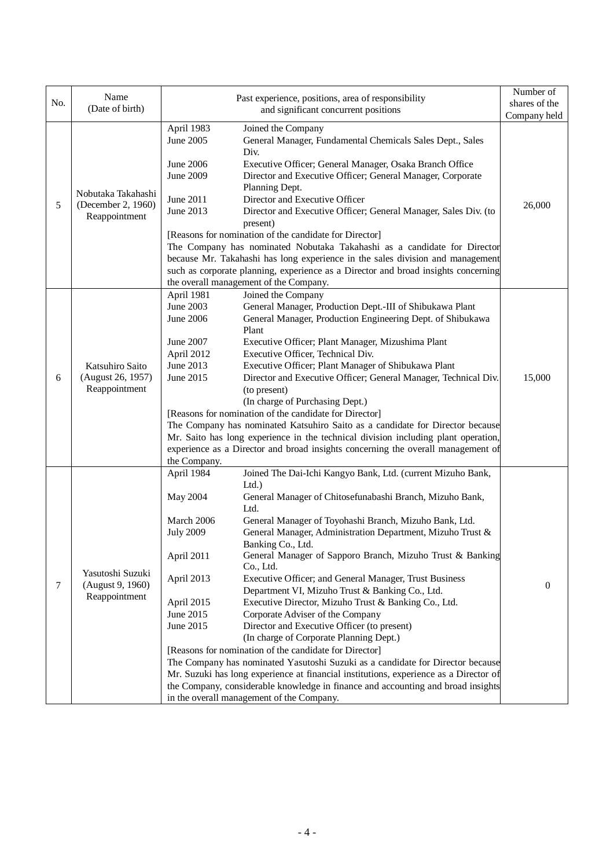|     | Name                                                      | Past experience, positions, area of responsibility                                                                                                                                                                                                                                                                                                                                                                                                                                                                                                                                                                                                                                                                                                                                                                                                                                                                                                                                                                                                                                                                                                                          | Number of     |
|-----|-----------------------------------------------------------|-----------------------------------------------------------------------------------------------------------------------------------------------------------------------------------------------------------------------------------------------------------------------------------------------------------------------------------------------------------------------------------------------------------------------------------------------------------------------------------------------------------------------------------------------------------------------------------------------------------------------------------------------------------------------------------------------------------------------------------------------------------------------------------------------------------------------------------------------------------------------------------------------------------------------------------------------------------------------------------------------------------------------------------------------------------------------------------------------------------------------------------------------------------------------------|---------------|
| No. | (Date of birth)                                           | and significant concurrent positions                                                                                                                                                                                                                                                                                                                                                                                                                                                                                                                                                                                                                                                                                                                                                                                                                                                                                                                                                                                                                                                                                                                                        | shares of the |
|     |                                                           |                                                                                                                                                                                                                                                                                                                                                                                                                                                                                                                                                                                                                                                                                                                                                                                                                                                                                                                                                                                                                                                                                                                                                                             | Company held  |
| 5   | Nobutaka Takahashi<br>(December 2, 1960)<br>Reappointment | April 1983<br>Joined the Company<br>June 2005<br>General Manager, Fundamental Chemicals Sales Dept., Sales<br>Div.<br>June 2006<br>Executive Officer; General Manager, Osaka Branch Office<br>June 2009<br>Director and Executive Officer; General Manager, Corporate<br>Planning Dept.<br>Director and Executive Officer<br>June 2011<br>June 2013<br>Director and Executive Officer; General Manager, Sales Div. (to<br>present)<br>[Reasons for nomination of the candidate for Director]<br>The Company has nominated Nobutaka Takahashi as a candidate for Director                                                                                                                                                                                                                                                                                                                                                                                                                                                                                                                                                                                                    | 26,000        |
|     |                                                           | because Mr. Takahashi has long experience in the sales division and management<br>such as corporate planning, experience as a Director and broad insights concerning                                                                                                                                                                                                                                                                                                                                                                                                                                                                                                                                                                                                                                                                                                                                                                                                                                                                                                                                                                                                        |               |
|     |                                                           | the overall management of the Company.                                                                                                                                                                                                                                                                                                                                                                                                                                                                                                                                                                                                                                                                                                                                                                                                                                                                                                                                                                                                                                                                                                                                      |               |
| 6   | Katsuhiro Saito<br>(August 26, 1957)<br>Reappointment     | Joined the Company<br>April 1981<br>June 2003<br>General Manager, Production Dept.-III of Shibukawa Plant<br>June 2006<br>General Manager, Production Engineering Dept. of Shibukawa<br>Plant<br>June 2007<br>Executive Officer; Plant Manager, Mizushima Plant<br>Executive Officer, Technical Div.<br>April 2012<br>June 2013<br>Executive Officer; Plant Manager of Shibukawa Plant<br>Director and Executive Officer; General Manager, Technical Div.<br>June 2015<br>(to present)<br>(In charge of Purchasing Dept.)<br>[Reasons for nomination of the candidate for Director]<br>The Company has nominated Katsuhiro Saito as a candidate for Director because<br>Mr. Saito has long experience in the technical division including plant operation,<br>experience as a Director and broad insights concerning the overall management of<br>the Company.                                                                                                                                                                                                                                                                                                              | 15,000        |
| 7   | Yasutoshi Suzuki<br>(August 9, 1960)<br>Reappointment     | April 1984<br>Joined The Dai-Ichi Kangyo Bank, Ltd. (current Mizuho Bank,<br>$Ltd.$ )<br>May 2004<br>General Manager of Chitosefunabashi Branch, Mizuho Bank,<br>Ltd.<br>March 2006<br>General Manager of Toyohashi Branch, Mizuho Bank, Ltd.<br>General Manager, Administration Department, Mizuho Trust &<br><b>July 2009</b><br>Banking Co., Ltd.<br>General Manager of Sapporo Branch, Mizuho Trust & Banking<br>April 2011<br>Co., Ltd.<br>April 2013<br>Executive Officer; and General Manager, Trust Business<br>Department VI, Mizuho Trust & Banking Co., Ltd.<br>Executive Director, Mizuho Trust & Banking Co., Ltd.<br>April 2015<br>June 2015<br>Corporate Adviser of the Company<br>Director and Executive Officer (to present)<br>June 2015<br>(In charge of Corporate Planning Dept.)<br>[Reasons for nomination of the candidate for Director]<br>The Company has nominated Yasutoshi Suzuki as a candidate for Director because<br>Mr. Suzuki has long experience at financial institutions, experience as a Director of<br>the Company, considerable knowledge in finance and accounting and broad insights<br>in the overall management of the Company. | $\theta$      |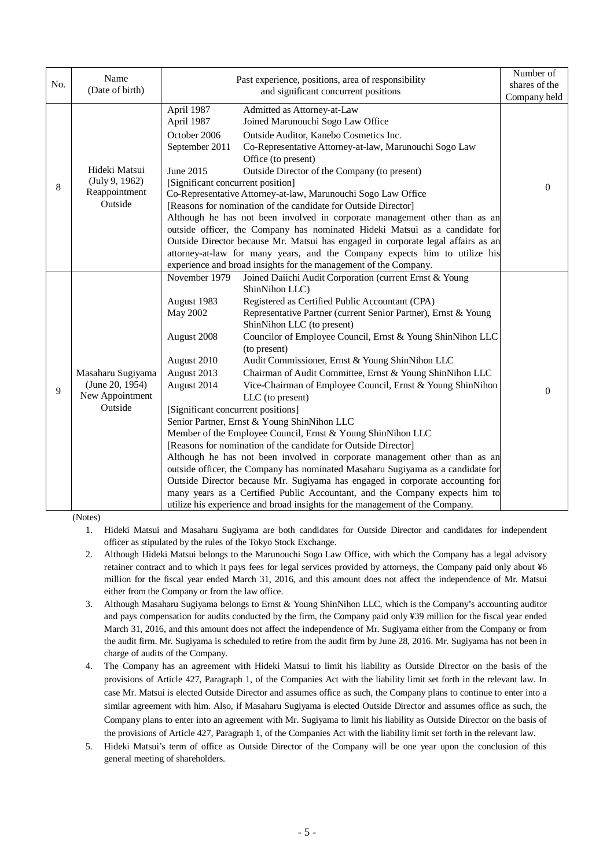|     | Name                                                               |                                    | Past experience, positions, area of responsibility                               | Number of     |
|-----|--------------------------------------------------------------------|------------------------------------|----------------------------------------------------------------------------------|---------------|
| No. | (Date of birth)                                                    |                                    | and significant concurrent positions                                             | shares of the |
|     |                                                                    |                                    |                                                                                  | Company held  |
|     |                                                                    | April 1987                         | Admitted as Attorney-at-Law                                                      |               |
|     |                                                                    | April 1987                         | Joined Marunouchi Sogo Law Office                                                |               |
|     |                                                                    | October 2006                       | Outside Auditor, Kanebo Cosmetics Inc.                                           |               |
|     |                                                                    | September 2011                     | Co-Representative Attorney-at-law, Marunouchi Sogo Law                           |               |
|     |                                                                    |                                    | Office (to present)                                                              |               |
|     | Hideki Matsui                                                      | June 2015                          | Outside Director of the Company (to present)                                     |               |
| 8   | (July 9, 1962)                                                     | [Significant concurrent position]  |                                                                                  | $\theta$      |
|     | Reappointment                                                      |                                    | Co-Representative Attorney-at-law, Marunouchi Sogo Law Office                    |               |
|     | Outside                                                            |                                    | [Reasons for nomination of the candidate for Outside Director]                   |               |
|     |                                                                    |                                    | Although he has not been involved in corporate management other than as an       |               |
|     |                                                                    |                                    | outside officer, the Company has nominated Hideki Matsui as a candidate for      |               |
|     |                                                                    |                                    | Outside Director because Mr. Matsui has engaged in corporate legal affairs as an |               |
|     |                                                                    |                                    | attorney-at-law for many years, and the Company expects him to utilize his       |               |
|     |                                                                    |                                    | experience and broad insights for the management of the Company.                 |               |
|     | Masaharu Sugiyama<br>(June 20, 1954)<br>New Appointment<br>Outside | November 1979                      | Joined Daiichi Audit Corporation (current Ernst & Young                          |               |
|     |                                                                    |                                    | ShinNihon LLC)                                                                   |               |
|     |                                                                    | August 1983                        | Registered as Certified Public Accountant (CPA)                                  |               |
|     |                                                                    | May 2002                           | Representative Partner (current Senior Partner), Ernst & Young                   |               |
|     |                                                                    |                                    | ShinNihon LLC (to present)                                                       |               |
|     |                                                                    | August 2008                        | Councilor of Employee Council, Ernst & Young ShinNihon LLC<br>(to present)       |               |
|     |                                                                    | August 2010                        | Audit Commissioner, Ernst & Young ShinNihon LLC                                  |               |
|     |                                                                    | August 2013                        | Chairman of Audit Committee, Ernst & Young ShinNihon LLC                         |               |
|     |                                                                    | August 2014                        | Vice-Chairman of Employee Council, Ernst & Young ShinNihon                       |               |
| 9   |                                                                    |                                    | LLC (to present)                                                                 | $\theta$      |
|     |                                                                    | [Significant concurrent positions] |                                                                                  |               |
|     |                                                                    |                                    | Senior Partner, Ernst & Young ShinNihon LLC                                      |               |
|     |                                                                    |                                    | Member of the Employee Council, Ernst & Young ShinNihon LLC                      |               |
|     |                                                                    |                                    | [Reasons for nomination of the candidate for Outside Director]                   |               |
|     |                                                                    |                                    | Although he has not been involved in corporate management other than as an       |               |
|     |                                                                    |                                    | outside officer, the Company has nominated Masaharu Sugiyama as a candidate for  |               |
|     |                                                                    |                                    | Outside Director because Mr. Sugiyama has engaged in corporate accounting for    |               |
|     |                                                                    |                                    | many years as a Certified Public Accountant, and the Company expects him to      |               |
|     |                                                                    |                                    | utilize his experience and broad insights for the management of the Company.     |               |

(Notes)

1. Hideki Matsui and Masaharu Sugiyama are both candidates for Outside Director and candidates for independent officer as stipulated by the rules of the Tokyo Stock Exchange.

- 2. Although Hideki Matsui belongs to the Marunouchi Sogo Law Office, with which the Company has a legal advisory retainer contract and to which it pays fees for legal services provided by attorneys, the Company paid only about ¥6 million for the fiscal year ended March 31, 2016, and this amount does not affect the independence of Mr. Matsui either from the Company or from the law office.
- 3. Although Masaharu Sugiyama belongs to Ernst & Young ShinNihon LLC, which is the Company's accounting auditor and pays compensation for audits conducted by the firm, the Company paid only ¥39 million for the fiscal year ended March 31, 2016, and this amount does not affect the independence of Mr. Sugiyama either from the Company or from the audit firm. Mr. Sugiyama is scheduled to retire from the audit firm by June 28, 2016. Mr. Sugiyama has not been in charge of audits of the Company.
- 4. The Company has an agreement with Hideki Matsui to limit his liability as Outside Director on the basis of the provisions of Article 427, Paragraph 1, of the Companies Act with the liability limit set forth in the relevant law. In case Mr. Matsui is elected Outside Director and assumes office as such, the Company plans to continue to enter into a similar agreement with him. Also, if Masaharu Sugiyama is elected Outside Director and assumes office as such, the Company plans to enter into an agreement with Mr. Sugiyama to limit his liability as Outside Director on the basis of the provisions of Article 427, Paragraph 1, of the Companies Act with the liability limit set forth in the relevant law.
- 5. Hideki Matsui's term of office as Outside Director of the Company will be one year upon the conclusion of this general meeting of shareholders.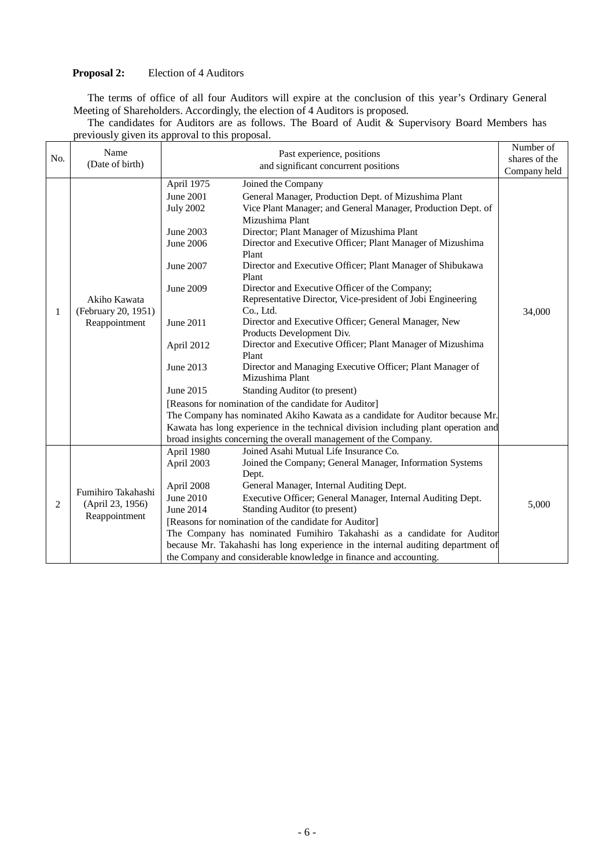# **Proposal 2:** Election of 4 Auditors

The terms of office of all four Auditors will expire at the conclusion of this year's Ordinary General Meeting of Shareholders. Accordingly, the election of 4 Auditors is proposed.

|     | Name                              |                  | Past experience, positions                                                         | Number of     |
|-----|-----------------------------------|------------------|------------------------------------------------------------------------------------|---------------|
| No. | (Date of birth)                   |                  | and significant concurrent positions                                               | shares of the |
|     |                                   |                  |                                                                                    | Company held  |
|     |                                   | April 1975       | Joined the Company                                                                 |               |
|     |                                   | <b>June 2001</b> | General Manager, Production Dept. of Mizushima Plant                               |               |
|     |                                   | <b>July 2002</b> | Vice Plant Manager; and General Manager, Production Dept. of                       |               |
|     |                                   |                  | Mizushima Plant                                                                    |               |
|     |                                   | June 2003        | Director; Plant Manager of Mizushima Plant                                         |               |
|     |                                   | June 2006        | Director and Executive Officer; Plant Manager of Mizushima                         |               |
|     |                                   |                  | Plant                                                                              |               |
|     |                                   | June 2007        | Director and Executive Officer; Plant Manager of Shibukawa                         |               |
|     |                                   |                  | Plant                                                                              |               |
|     |                                   | June 2009        | Director and Executive Officer of the Company;                                     |               |
|     | Akiho Kawata                      |                  | Representative Director, Vice-president of Jobi Engineering                        |               |
| 1   | (February 20, 1951)               |                  | Co., Ltd.                                                                          | 34,000        |
|     | Reappointment                     | June 2011        | Director and Executive Officer; General Manager, New                               |               |
|     |                                   |                  | Products Development Div.                                                          |               |
|     |                                   | April 2012       | Director and Executive Officer; Plant Manager of Mizushima                         |               |
|     |                                   |                  | Plant                                                                              |               |
|     |                                   | June 2013        | Director and Managing Executive Officer; Plant Manager of                          |               |
|     |                                   |                  | Mizushima Plant                                                                    |               |
|     |                                   | June 2015        | Standing Auditor (to present)                                                      |               |
|     |                                   |                  | [Reasons for nomination of the candidate for Auditor]                              |               |
|     |                                   |                  | The Company has nominated Akiho Kawata as a candidate for Auditor because Mr.      |               |
|     |                                   |                  | Kawata has long experience in the technical division including plant operation and |               |
|     |                                   |                  | broad insights concerning the overall management of the Company.                   |               |
|     |                                   | April 1980       | Joined Asahi Mutual Life Insurance Co.                                             |               |
|     |                                   | April 2003       | Joined the Company; General Manager, Information Systems                           |               |
|     |                                   |                  | Dept.                                                                              |               |
|     | Fumihiro Takahashi                | April 2008       | General Manager, Internal Auditing Dept.                                           |               |
|     |                                   | June 2010        | Executive Officer; General Manager, Internal Auditing Dept.                        |               |
| 2   | (April 23, 1956)<br>Reappointment | June 2014        | Standing Auditor (to present)                                                      | 5,000         |
|     |                                   |                  | [Reasons for nomination of the candidate for Auditor]                              |               |
|     |                                   |                  | The Company has nominated Fumihiro Takahashi as a candidate for Auditor            |               |
|     |                                   |                  | because Mr. Takahashi has long experience in the internal auditing department of   |               |
|     |                                   |                  | the Company and considerable knowledge in finance and accounting.                  |               |

The candidates for Auditors are as follows. The Board of Audit & Supervisory Board Members has previously given its approval to this proposal.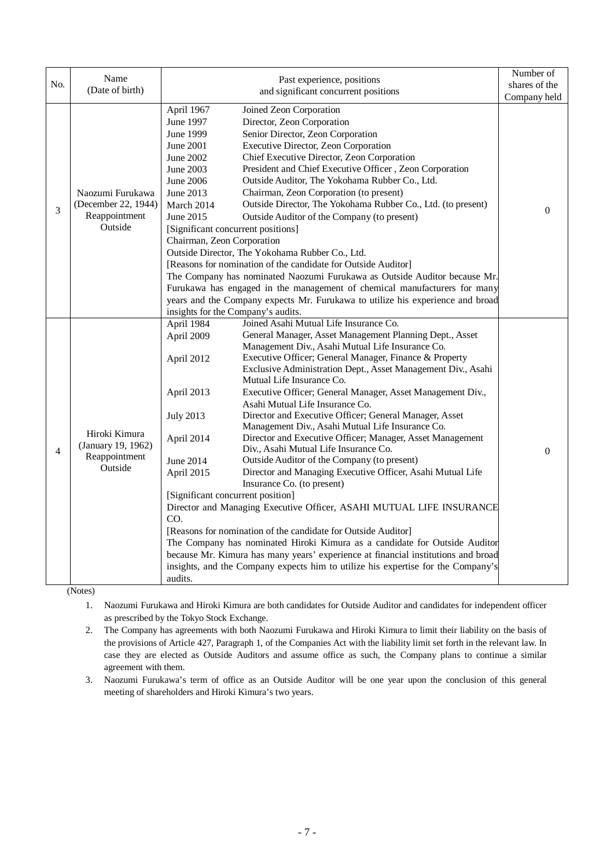|                | Name                                                                | Past experience, positions                                                                                                                                                                                                                                                                                                                                                                                                                                                                                                                                                                                                                                                                                                                                                                                                                                                                                                                                                                                                  | Number of                     |
|----------------|---------------------------------------------------------------------|-----------------------------------------------------------------------------------------------------------------------------------------------------------------------------------------------------------------------------------------------------------------------------------------------------------------------------------------------------------------------------------------------------------------------------------------------------------------------------------------------------------------------------------------------------------------------------------------------------------------------------------------------------------------------------------------------------------------------------------------------------------------------------------------------------------------------------------------------------------------------------------------------------------------------------------------------------------------------------------------------------------------------------|-------------------------------|
| No.            | (Date of birth)                                                     | and significant concurrent positions                                                                                                                                                                                                                                                                                                                                                                                                                                                                                                                                                                                                                                                                                                                                                                                                                                                                                                                                                                                        | shares of the<br>Company held |
|                |                                                                     | April 1967<br>Joined Zeon Corporation                                                                                                                                                                                                                                                                                                                                                                                                                                                                                                                                                                                                                                                                                                                                                                                                                                                                                                                                                                                       |                               |
| 3              | Naozumi Furukawa<br>(December 22, 1944)<br>Reappointment<br>Outside | June 1997<br>Director, Zeon Corporation<br><b>June 1999</b><br>Senior Director, Zeon Corporation<br>Executive Director, Zeon Corporation<br>June 2001<br>Chief Executive Director, Zeon Corporation<br>June 2002<br>President and Chief Executive Officer, Zeon Corporation<br>June 2003<br>Outside Auditor, The Yokohama Rubber Co., Ltd.<br>June 2006<br>Chairman, Zeon Corporation (to present)<br>June 2013<br>Outside Director, The Yokohama Rubber Co., Ltd. (to present)<br>March 2014<br>June 2015<br>Outside Auditor of the Company (to present)<br>[Significant concurrent positions]<br>Chairman, Zeon Corporation<br>Outside Director, The Yokohama Rubber Co., Ltd.<br>[Reasons for nomination of the candidate for Outside Auditor]<br>The Company has nominated Naozumi Furukawa as Outside Auditor because Mr.                                                                                                                                                                                              | $\overline{0}$                |
|                |                                                                     | Furukawa has engaged in the management of chemical manufacturers for many<br>years and the Company expects Mr. Furukawa to utilize his experience and broad<br>insights for the Company's audits.                                                                                                                                                                                                                                                                                                                                                                                                                                                                                                                                                                                                                                                                                                                                                                                                                           |                               |
|                |                                                                     | Joined Asahi Mutual Life Insurance Co.<br>April 1984                                                                                                                                                                                                                                                                                                                                                                                                                                                                                                                                                                                                                                                                                                                                                                                                                                                                                                                                                                        |                               |
| $\overline{4}$ | Hiroki Kimura<br>(January 19, 1962)<br>Reappointment<br>Outside     | General Manager, Asset Management Planning Dept., Asset<br>April 2009<br>Management Div., Asahi Mutual Life Insurance Co.<br>Executive Officer; General Manager, Finance & Property<br>April 2012<br>Exclusive Administration Dept., Asset Management Div., Asahi                                                                                                                                                                                                                                                                                                                                                                                                                                                                                                                                                                                                                                                                                                                                                           |                               |
|                |                                                                     | Mutual Life Insurance Co.<br>Executive Officer; General Manager, Asset Management Div.,<br>April 2013<br>Asahi Mutual Life Insurance Co.<br>Director and Executive Officer; General Manager, Asset<br><b>July 2013</b><br>Management Div., Asahi Mutual Life Insurance Co.<br>Director and Executive Officer; Manager, Asset Management<br>April 2014<br>Div., Asahi Mutual Life Insurance Co.<br>Outside Auditor of the Company (to present)<br>June 2014<br>Director and Managing Executive Officer, Asahi Mutual Life<br>April 2015<br>Insurance Co. (to present)<br>[Significant concurrent position]<br>Director and Managing Executive Officer, ASAHI MUTUAL LIFE INSURANCE<br>CO.<br>[Reasons for nomination of the candidate for Outside Auditor]<br>The Company has nominated Hiroki Kimura as a candidate for Outside Auditor<br>because Mr. Kimura has many years' experience at financial institutions and broad<br>insights, and the Company expects him to utilize his expertise for the Company's<br>audits. | $\Omega$                      |

(Notes)

1. Naozumi Furukawa and Hiroki Kimura are both candidates for Outside Auditor and candidates for independent officer as prescribed by the Tokyo Stock Exchange.

2. The Company has agreements with both Naozumi Furukawa and Hiroki Kimura to limit their liability on the basis of the provisions of Article 427, Paragraph 1, of the Companies Act with the liability limit set forth in the relevant law. In case they are elected as Outside Auditors and assume office as such, the Company plans to continue a similar agreement with them.

3. Naozumi Furukawa's term of office as an Outside Auditor will be one year upon the conclusion of this general meeting of shareholders and Hiroki Kimura's two years.